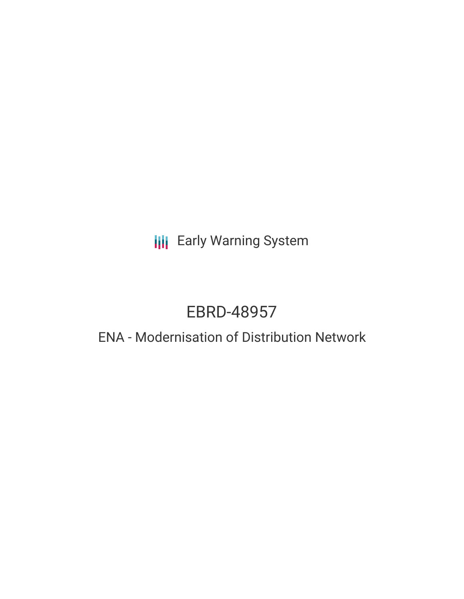## **III** Early Warning System

# EBRD-48957

### ENA - Modernisation of Distribution Network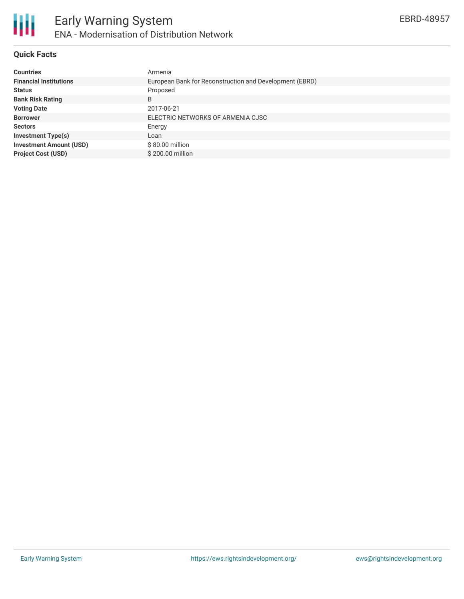

#### **Quick Facts**

| <b>Countries</b>               | Armenia                                                 |
|--------------------------------|---------------------------------------------------------|
| <b>Financial Institutions</b>  | European Bank for Reconstruction and Development (EBRD) |
| <b>Status</b>                  | Proposed                                                |
| <b>Bank Risk Rating</b>        | B                                                       |
| <b>Voting Date</b>             | 2017-06-21                                              |
| <b>Borrower</b>                | ELECTRIC NETWORKS OF ARMENIA CJSC                       |
| <b>Sectors</b>                 | Energy                                                  |
| <b>Investment Type(s)</b>      | Loan                                                    |
| <b>Investment Amount (USD)</b> | $$80.00$ million                                        |
| <b>Project Cost (USD)</b>      | $$200.00$ million                                       |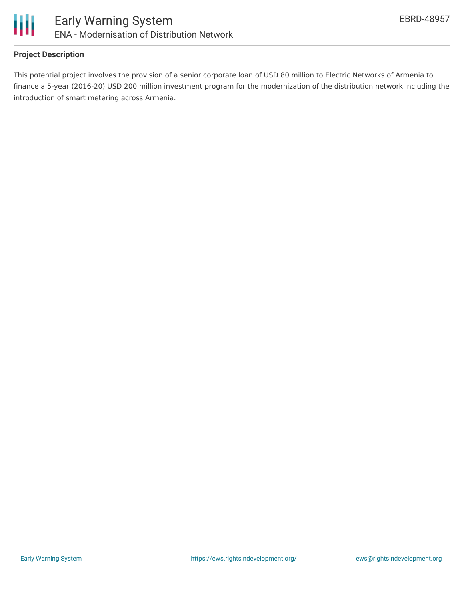

#### **Project Description**

This potential project involves the provision of a senior corporate loan of USD 80 million to Electric Networks of Armenia to finance a 5-year (2016-20) USD 200 million investment program for the modernization of the distribution network including the introduction of smart metering across Armenia.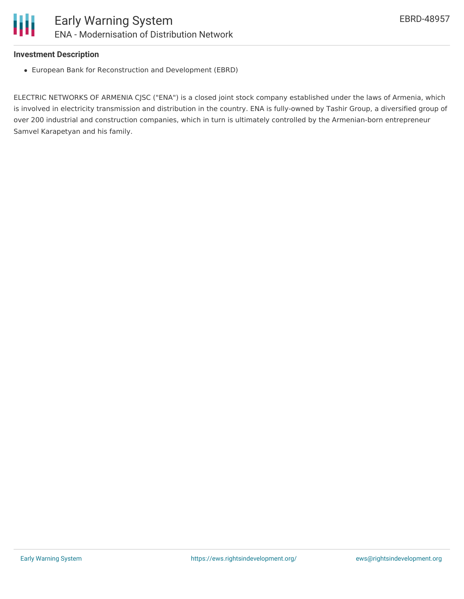#### **Investment Description**

European Bank for Reconstruction and Development (EBRD)

ELECTRIC NETWORKS OF ARMENIA CJSC ("ENA") is a closed joint stock company established under the laws of Armenia, which is involved in electricity transmission and distribution in the country. ENA is fully-owned by Tashir Group, a diversified group of over 200 industrial and construction companies, which in turn is ultimately controlled by the Armenian-born entrepreneur Samvel Karapetyan and his family.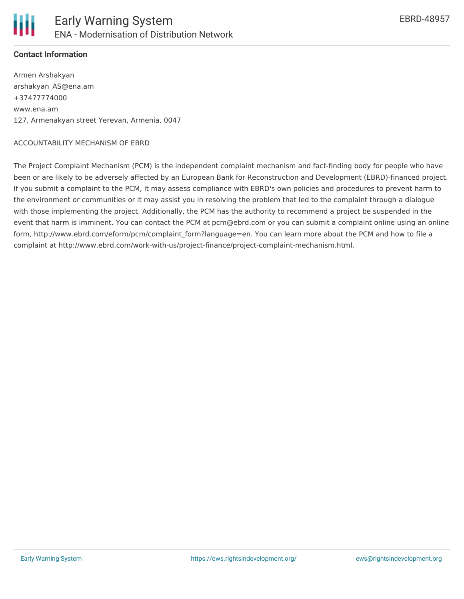

#### **Contact Information**

Armen Arshakyan arshakyan\_AS@ena.am +37477774000 www.ena.am 127, Armenakyan street Yerevan, Armenia, 0047

#### ACCOUNTABILITY MECHANISM OF EBRD

The Project Complaint Mechanism (PCM) is the independent complaint mechanism and fact-finding body for people who have been or are likely to be adversely affected by an European Bank for Reconstruction and Development (EBRD)-financed project. If you submit a complaint to the PCM, it may assess compliance with EBRD's own policies and procedures to prevent harm to the environment or communities or it may assist you in resolving the problem that led to the complaint through a dialogue with those implementing the project. Additionally, the PCM has the authority to recommend a project be suspended in the event that harm is imminent. You can contact the PCM at pcm@ebrd.com or you can submit a complaint online using an online form, http://www.ebrd.com/eform/pcm/complaint\_form?language=en. You can learn more about the PCM and how to file a complaint at http://www.ebrd.com/work-with-us/project-finance/project-complaint-mechanism.html.